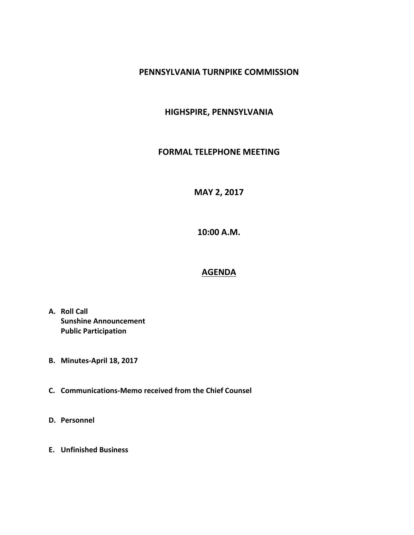#### **PENNSYLVANIA TURNPIKE COMMISSION**

### **HIGHSPIRE, PENNSYLVANIA**

#### **FORMAL TELEPHONE MEETING**

# **MAY 2, 2017**

**10:00 A.M.**

# **AGENDA**

- **A. Roll Call Sunshine Announcement Public Participation**
- **B. Minutes-April 18, 2017**
- **C. Communications-Memo received from the Chief Counsel**
- **D. Personnel**
- **E. Unfinished Business**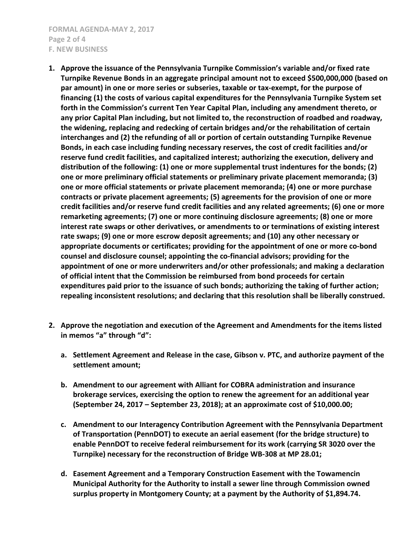**FORMAL AGENDA-MAY 2, 2017 Page 2 of 4 F. NEW BUSINESS**

- **1. Approve the issuance of the Pennsylvania Turnpike Commission's variable and/or fixed rate Turnpike Revenue Bonds in an aggregate principal amount not to exceed \$500,000,000 (based on par amount) in one or more series or subseries, taxable or tax-exempt, for the purpose of financing (1) the costs of various capital expenditures for the Pennsylvania Turnpike System set forth in the Commission's current Ten Year Capital Plan, including any amendment thereto, or any prior Capital Plan including, but not limited to, the reconstruction of roadbed and roadway, the widening, replacing and redecking of certain bridges and/or the rehabilitation of certain interchanges and (2) the refunding of all or portion of certain outstanding Turnpike Revenue Bonds, in each case including funding necessary reserves, the cost of credit facilities and/or reserve fund credit facilities, and capitalized interest; authorizing the execution, delivery and distribution of the following: (1) one or more supplemental trust indentures for the bonds; (2) one or more preliminary official statements or preliminary private placement memoranda; (3) one or more official statements or private placement memoranda; (4) one or more purchase contracts or private placement agreements; (5) agreements for the provision of one or more credit facilities and/or reserve fund credit facilities and any related agreements; (6) one or more remarketing agreements; (7) one or more continuing disclosure agreements; (8) one or more interest rate swaps or other derivatives, or amendments to or terminations of existing interest rate swaps; (9) one or more escrow deposit agreements; and (10) any other necessary or appropriate documents or certificates; providing for the appointment of one or more co-bond counsel and disclosure counsel; appointing the co-financial advisors; providing for the appointment of one or more underwriters and/or other professionals; and making a declaration of official intent that the Commission be reimbursed from bond proceeds for certain expenditures paid prior to the issuance of such bonds; authorizing the taking of further action; repealing inconsistent resolutions; and declaring that this resolution shall be liberally construed.**
- **2. Approve the negotiation and execution of the Agreement and Amendments for the items listed in memos "a" through "d":**
	- **a. Settlement Agreement and Release in the case, Gibson v. PTC, and authorize payment of the settlement amount;**
	- **b. Amendment to our agreement with Alliant for COBRA administration and insurance brokerage services, exercising the option to renew the agreement for an additional year (September 24, 2017 – September 23, 2018); at an approximate cost of \$10,000.00;**
	- **c. Amendment to our Interagency Contribution Agreement with the Pennsylvania Department of Transportation (PennDOT) to execute an aerial easement (for the bridge structure) to enable PennDOT to receive federal reimbursement for its work (carrying SR 3020 over the Turnpike) necessary for the reconstruction of Bridge WB-308 at MP 28.01;**
	- **d. Easement Agreement and a Temporary Construction Easement with the Towamencin Municipal Authority for the Authority to install a sewer line through Commission owned surplus property in Montgomery County; at a payment by the Authority of \$1,894.74.**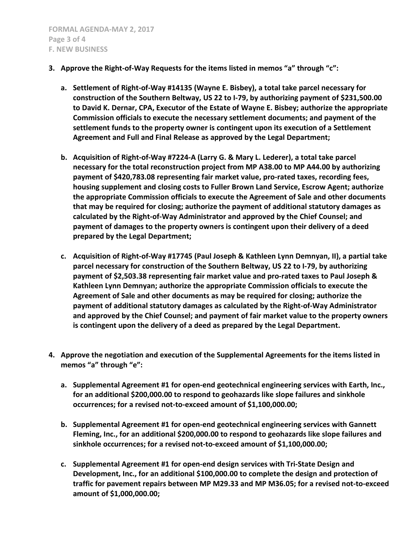- **3. Approve the Right-of-Way Requests for the items listed in memos "a" through "c":**
	- **a. Settlement of Right-of-Way #14135 (Wayne E. Bisbey), a total take parcel necessary for construction of the Southern Beltway, US 22 to I-79, by authorizing payment of \$231,500.00 to David K. Dernar, CPA, Executor of the Estate of Wayne E. Bisbey; authorize the appropriate Commission officials to execute the necessary settlement documents; and payment of the settlement funds to the property owner is contingent upon its execution of a Settlement Agreement and Full and Final Release as approved by the Legal Department;**
	- **b. Acquisition of Right-of-Way #7224-A (Larry G. & Mary L. Lederer), a total take parcel necessary for the total reconstruction project from MP A38.00 to MP A44.00 by authorizing payment of \$420,783.08 representing fair market value, pro-rated taxes, recording fees, housing supplement and closing costs to Fuller Brown Land Service, Escrow Agent; authorize the appropriate Commission officials to execute the Agreement of Sale and other documents that may be required for closing; authorize the payment of additional statutory damages as calculated by the Right-of-Way Administrator and approved by the Chief Counsel; and payment of damages to the property owners is contingent upon their delivery of a deed prepared by the Legal Department;**
	- **c. Acquisition of Right-of-Way #17745 (Paul Joseph & Kathleen Lynn Demnyan, II), a partial take parcel necessary for construction of the Southern Beltway, US 22 to I-79, by authorizing payment of \$2,503.38 representing fair market value and pro-rated taxes to Paul Joseph & Kathleen Lynn Demnyan; authorize the appropriate Commission officials to execute the Agreement of Sale and other documents as may be required for closing; authorize the payment of additional statutory damages as calculated by the Right-of-Way Administrator and approved by the Chief Counsel; and payment of fair market value to the property owners is contingent upon the delivery of a deed as prepared by the Legal Department.**
- **4. Approve the negotiation and execution of the Supplemental Agreements for the items listed in memos "a" through "e":**
	- **a. Supplemental Agreement #1 for open-end geotechnical engineering services with Earth, Inc., for an additional \$200,000.00 to respond to geohazards like slope failures and sinkhole occurrences; for a revised not-to-exceed amount of \$1,100,000.00;**
	- **b. Supplemental Agreement #1 for open-end geotechnical engineering services with Gannett Fleming, Inc., for an additional \$200,000.00 to respond to geohazards like slope failures and sinkhole occurrences; for a revised not-to-exceed amount of \$1,100,000.00;**
	- **c. Supplemental Agreement #1 for open-end design services with Tri-State Design and Development, Inc., for an additional \$100,000.00 to complete the design and protection of traffic for pavement repairs between MP M29.33 and MP M36.05; for a revised not-to-exceed amount of \$1,000,000.00;**